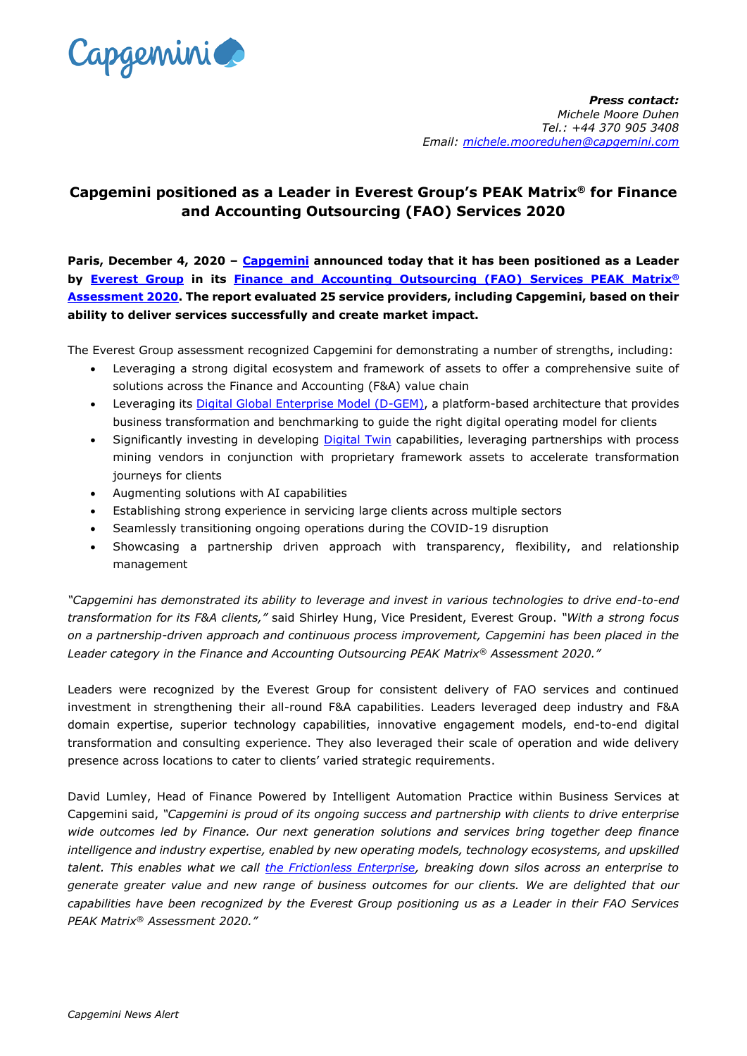

## **Capgemini positioned as a Leader in Everest Group's PEAK Matrix® for Finance and Accounting Outsourcing (FAO) Services 2020**

**Paris, December 4, 2020 – [Capgemini](https://www.capgemini.com/) announced today that it has been positioned as a Leader by [Everest Group](https://www.everestgrp.com/) in its [Finance and Accounting Outsourcing \(FAO\) Services PEAK Matrix](https://www.capgemini.com/business-services-thought-leadership/business-services-awards-and-rankings/capgemini-named-a-leader-in-everest-groups-peak-matrix-for-finance-and-accounting-outsourcing-fao-services-2020?utm_source=pr&utm_medium=referral&utm_content=bsv_none_link_pressrelease_none&utm_campaign=other_everestpeak_2020)® [Assessment 2020.](https://www.capgemini.com/business-services-thought-leadership/business-services-awards-and-rankings/capgemini-named-a-leader-in-everest-groups-peak-matrix-for-finance-and-accounting-outsourcing-fao-services-2020?utm_source=pr&utm_medium=referral&utm_content=bsv_none_link_pressrelease_none&utm_campaign=other_everestpeak_2020) The report evaluated 25 service providers, including Capgemini, based on their ability to deliver services successfully and create market impact.**

The Everest Group assessment recognized Capgemini for demonstrating a number of strengths, including:

- Leveraging a strong digital ecosystem and framework of assets to offer a comprehensive suite of solutions across the Finance and Accounting (F&A) value chain
- Leveraging its **Digital Global Enterprise Model (D-GEM)**, a platform-based architecture that provides business transformation and benchmarking to guide the right digital operating model for clients
- Significantly investing in developing [Digital Twin](https://www.capgemini.com/business-services-thought-leadership/digital-twins-for-business-operations/) capabilities, leveraging partnerships with process mining vendors in conjunction with proprietary framework assets to accelerate transformation journeys for clients
- Augmenting solutions with AI capabilities
- Establishing strong experience in servicing large clients across multiple sectors
- Seamlessly transitioning ongoing operations during the COVID-19 disruption
- Showcasing a partnership driven approach with transparency, flexibility, and relationship management

*"Capgemini has demonstrated its ability to leverage and invest in various technologies to drive end-to-end transformation for its F&A clients,"* said Shirley Hung, Vice President, Everest Group. *"With a strong focus on a partnership-driven approach and continuous process improvement, Capgemini has been placed in the Leader category in the Finance and Accounting Outsourcing PEAK Matrix® Assessment 2020."*

Leaders were recognized by the Everest Group for consistent delivery of FAO services and continued investment in strengthening their all-round F&A capabilities. Leaders leveraged deep industry and F&A domain expertise, superior technology capabilities, innovative engagement models, end-to-end digital transformation and consulting experience. They also leveraged their scale of operation and wide delivery presence across locations to cater to clients' varied strategic requirements.

David Lumley, Head of Finance Powered by Intelligent Automation Practice within Business Services at Capgemini said, *"Capgemini is proud of its ongoing success and partnership with clients to drive enterprise wide outcomes led by Finance. Our next generation solutions and services bring together deep finance intelligence and industry expertise, enabled by new operating models, technology ecosystems, and upskilled talent. This enables what we call [the Frictionless Enterprise,](https://www.capgemini.com/business-services-thought-leadership/innovation-nation/the-frictionless-enterprise/) breaking down silos across an enterprise to generate greater value and new range of business outcomes for our clients. We are delighted that our capabilities have been recognized by the Everest Group positioning us as a Leader in their FAO Services PEAK Matrix® Assessment 2020."*